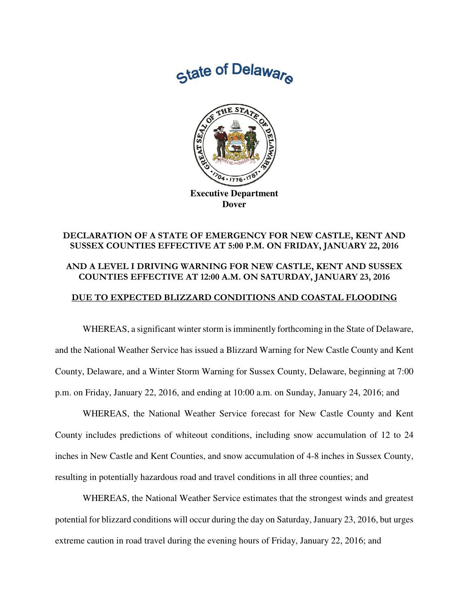State of Delaware



**Executive Department Dover** 

## DECLARATION OF A STATE OF EMERGENCY FOR NEW CASTLE, KENT AND SUSSEX COUNTIES EFFECTIVE AT 5:00 P.M. ON FRIDAY, JANUARY 22, 2016 AND A LEVEL I DRIVING WARNING FOR NEW CASTLE, KENT AND SUSSEX COUNTIES EFFECTIVE AT 12:00 A.M. ON SATURDAY, JANUARY 23, 2016

## DUE TO EXPECTED BLIZZARD CONDITIONS AND COASTAL FLOODING

 WHEREAS, a significant winter storm is imminently forthcoming in the State of Delaware, and the National Weather Service has issued a Blizzard Warning for New Castle County and Kent County, Delaware, and a Winter Storm Warning for Sussex County, Delaware, beginning at 7:00 p.m. on Friday, January 22, 2016, and ending at 10:00 a.m. on Sunday, January 24, 2016; and

 WHEREAS, the National Weather Service forecast for New Castle County and Kent County includes predictions of whiteout conditions, including snow accumulation of 12 to 24 inches in New Castle and Kent Counties, and snow accumulation of 4-8 inches in Sussex County, resulting in potentially hazardous road and travel conditions in all three counties; and

 WHEREAS, the National Weather Service estimates that the strongest winds and greatest potential for blizzard conditions will occur during the day on Saturday, January 23, 2016, but urges extreme caution in road travel during the evening hours of Friday, January 22, 2016; and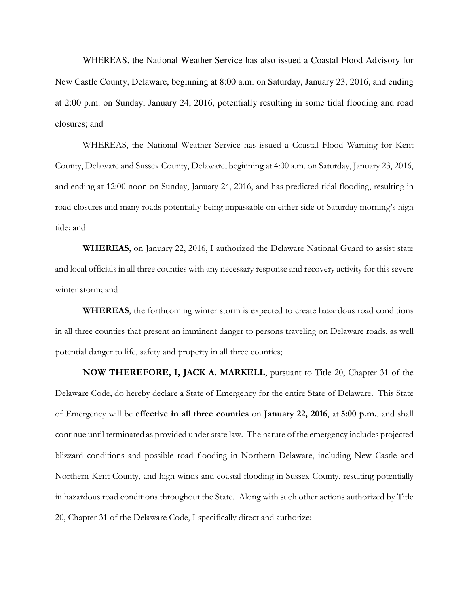WHEREAS, the National Weather Service has also issued a Coastal Flood Advisory for New Castle County, Delaware, beginning at 8:00 a.m. on Saturday, January 23, 2016, and ending at 2:00 p.m. on Sunday, January 24, 2016, potentially resulting in some tidal flooding and road closures; and

WHEREAS, the National Weather Service has issued a Coastal Flood Warning for Kent County, Delaware and Sussex County, Delaware, beginning at 4:00 a.m. on Saturday, January 23, 2016, and ending at 12:00 noon on Sunday, January 24, 2016, and has predicted tidal flooding, resulting in road closures and many roads potentially being impassable on either side of Saturday morning's high tide; and

WHEREAS, on January 22, 2016, I authorized the Delaware National Guard to assist state and local officials in all three counties with any necessary response and recovery activity for this severe winter storm; and

WHEREAS, the forthcoming winter storm is expected to create hazardous road conditions in all three counties that present an imminent danger to persons traveling on Delaware roads, as well potential danger to life, safety and property in all three counties;

 NOW THEREFORE, I, JACK A. MARKELL, pursuant to Title 20, Chapter 31 of the Delaware Code, do hereby declare a State of Emergency for the entire State of Delaware. This State of Emergency will be effective in all three counties on January 22, 2016, at 5:00 p.m., and shall continue until terminated as provided under state law. The nature of the emergency includes projected blizzard conditions and possible road flooding in Northern Delaware, including New Castle and Northern Kent County, and high winds and coastal flooding in Sussex County, resulting potentially in hazardous road conditions throughout the State. Along with such other actions authorized by Title 20, Chapter 31 of the Delaware Code, I specifically direct and authorize: